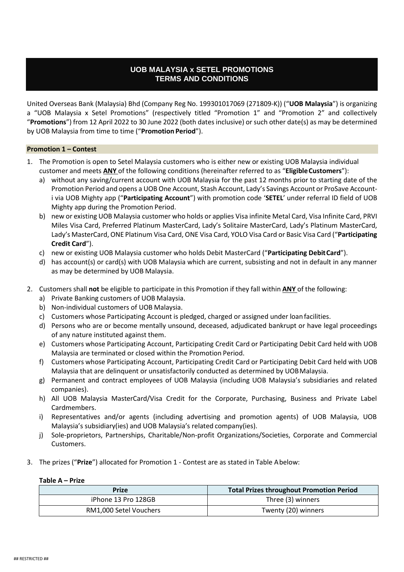# **UOB MALAYSIA x SETEL PROMOTIONS TERMS AND CONDITIONS**

United Overseas Bank (Malaysia) Bhd (Company Reg No. 199301017069 (271809-K)) ("**UOB Malaysia**") is organizing a "UOB Malaysia x Setel Promotions" (respectively titled "Promotion 1" and "Promotion 2" and collectively "**Promotions**") from 12 April 2022 to 30 June 2022 (both dates inclusive) or such other date(s) as may be determined by UOB Malaysia from time to time ("**Promotion Period**").

#### **Promotion 1 – Contest**

- 1. The Promotion is open to Setel Malaysia customers who is either new or existing UOB Malaysia individual customer and meets ANY of the following conditions (hereinafter referred to as "Eligible Customers"):
	- a) without any saving/current account with UOB Malaysia for the past 12 months prior to starting date of the Promotion Period and opens a UOB One Account, Stash Account, Lady's Savings Account or ProSave Accounti via UOB Mighty app ("**Participating Account**") with promotion code '**SETEL**' under referral ID field of UOB Mighty app during the Promotion Period.
	- b) new or existing UOB Malaysia customer who holds or applies Visa infinite Metal Card, Visa Infinite Card, PRVI Miles Visa Card, Preferred Platinum MasterCard, Lady's Solitaire MasterCard, Lady's Platinum MasterCard, Lady's MasterCard, ONE Platinum Visa Card, ONE Visa Card, YOLO Visa Card or Basic Visa Card ("**Participating Credit Card**").
	- c) new or existing UOB Malaysia customer who holds Debit MasterCard ("**Participating DebitCard**").
	- d) has account(s) or card(s) with UOB Malaysia which are current, subsisting and not in default in any manner as may be determined by UOB Malaysia.
- 2. Customers shall **not** be eligible to participate in this Promotion if they fall within **ANY** of the following:
	- a) Private Banking customers of UOB Malaysia.
	- b) Non-individual customers of UOB Malaysia.
	- c) Customers whose Participating Account is pledged, charged or assigned under loanfacilities.
	- d) Persons who are or become mentally unsound, deceased, adjudicated bankrupt or have legal proceedings of any nature instituted against them.
	- e) Customers whose Participating Account, Participating Credit Card or Participating Debit Card held with UOB Malaysia are terminated or closed within the Promotion Period.
	- f) Customers whose Participating Account, Participating Credit Card or Participating Debit Card held with UOB Malaysia that are delinquent or unsatisfactorily conducted as determined by UOBMalaysia.
	- g) Permanent and contract employees of UOB Malaysia (including UOB Malaysia's subsidiaries and related companies).
	- h) All UOB Malaysia MasterCard/Visa Credit for the Corporate, Purchasing, Business and Private Label Cardmembers.
	- i) Representatives and/or agents (including advertising and promotion agents) of UOB Malaysia, UOB Malaysia's subsidiary(ies) and UOB Malaysia's related company(ies).
	- j) Sole-proprietors, Partnerships, Charitable/Non-profit Organizations/Societies, Corporate and Commercial Customers.
- 3. The prizes ("**Prize**") allocated for Promotion 1 Contest are as stated in Table Abelow:

#### **Table A – Prize**

| <b>Prize</b>           | <b>Total Prizes throughout Promotion Period</b> |
|------------------------|-------------------------------------------------|
| iPhone 13 Pro 128GB    | Three (3) winners                               |
| RM1,000 Setel Vouchers | Twenty (20) winners                             |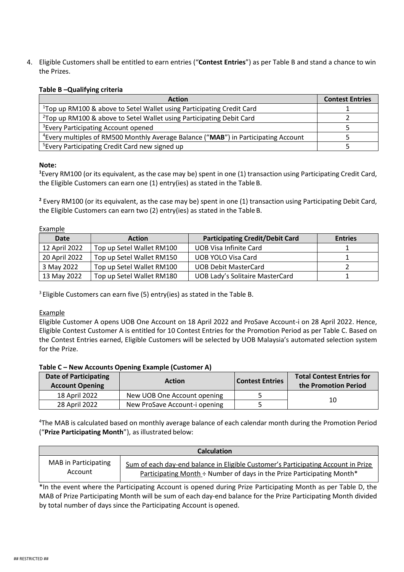4. Eligible Customers shall be entitled to earn entries ("**Contest Entries**") as per Table B and stand a chance to win the Prizes.

## **Table B –Qualifying criteria**

| <b>Action</b>                                                                                  | <b>Contest Entries</b> |
|------------------------------------------------------------------------------------------------|------------------------|
| <sup>1</sup> Top up RM100 & above to Setel Wallet using Participating Credit Card              |                        |
| <sup>2</sup> Top up RM100 & above to Setel Wallet using Participating Debit Card               |                        |
| <sup>3</sup> Every Participating Account opened                                                |                        |
| <sup>4</sup> Every multiples of RM500 Monthly Average Balance ("MAB") in Participating Account |                        |
| <sup>5</sup> Every Participating Credit Card new signed up                                     |                        |

## **Note:**

**<sup>1</sup>**Every RM100 (or its equivalent, as the case may be) spent in one (1) transaction using Participating Credit Card, the Eligible Customers can earn one (1) entry(ies) as stated in the TableB.

**<sup>2</sup>** Every RM100 (or its equivalent, as the case may be) spent in one (1) transaction using Participating Debit Card, the Eligible Customers can earn two (2) entry(ies) as stated in the Table B.

Example

| Date          | <b>Action</b>             | <b>Participating Credit/Debit Card</b> | <b>Entries</b> |
|---------------|---------------------------|----------------------------------------|----------------|
| 12 April 2022 | Top up Setel Wallet RM100 | UOB Visa Infinite Card                 |                |
| 20 April 2022 | Top up Setel Wallet RM150 | UOB YOLO Visa Card                     |                |
| 3 May 2022    | Top up Setel Wallet RM100 | <b>UOB Debit MasterCard</b>            |                |
| 13 May 2022   | Top up Setel Wallet RM180 | <b>UOB Lady's Solitaire MasterCard</b> |                |

 $3$  Eligible Customers can earn five (5) entry(ies) as stated in the Table B.

## Example

Eligible Customer A opens UOB One Account on 18 April 2022 and ProSave Account-i on 28 April 2022. Hence, Eligible Contest Customer A is entitled for 10 Contest Entries for the Promotion Period as per Table C. Based on the Contest Entries earned, Eligible Customers will be selected by UOB Malaysia's automated selection system for the Prize.

## **Table C – New Accounts Opening Example (Customer A)**

| <b>Date of Participating</b><br><b>Account Opening</b> | <b>Action</b>                 | Contest Entries | <b>Total Contest Entries for</b><br>the Promotion Period |  |
|--------------------------------------------------------|-------------------------------|-----------------|----------------------------------------------------------|--|
| 18 April 2022                                          | New UOB One Account opening   |                 | 10                                                       |  |
| 28 April 2022                                          | New ProSave Account-i opening |                 |                                                          |  |

<sup>4</sup>The MAB is calculated based on monthly average balance of each calendar month during the Promotion Period ("**Prize Participating Month**"), as illustrated below:

| <b>Calculation</b>          |                                                                                   |  |  |
|-----------------------------|-----------------------------------------------------------------------------------|--|--|
| <b>MAB</b> in Participating | Sum of each day-end balance in Eligible Customer's Participating Account in Prize |  |  |
| Account                     | Participating Month ÷ Number of days in the Prize Participating Month*            |  |  |

\*In the event where the Participating Account is opened during Prize Participating Month as per Table D, the MAB of Prize Participating Month will be sum of each day-end balance for the Prize Participating Month divided by total number of days since the Participating Account is opened.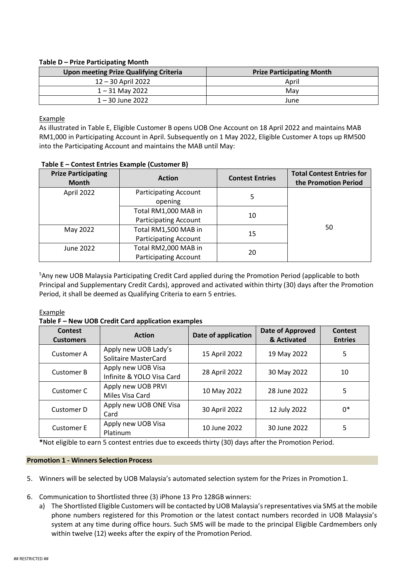## **Table D – Prize Participating Month**

| <b>Upon meeting Prize Qualifying Criteria</b> | <b>Prize Participating Month</b> |
|-----------------------------------------------|----------------------------------|
| 12 – 30 April 2022                            | April                            |
| 1 – 31 May 2022                               | Mav                              |
| $1 - 30$ June 2022                            | June                             |

Example

As illustrated in Table E, Eligible Customer B opens UOB One Account on 18 April 2022 and maintains MAB RM1,000 in Participating Account in April. Subsequently on 1 May 2022, Eligible Customer A tops up RM500 into the Participating Account and maintains the MAB until May:

| <b>Prize Participating</b><br><b>Month</b> | <b>Action</b>                                        | <b>Contest Entries</b> | <b>Total Contest Entries for</b><br>the Promotion Period |
|--------------------------------------------|------------------------------------------------------|------------------------|----------------------------------------------------------|
| April 2022                                 | <b>Participating Account</b><br>opening              | 5                      |                                                          |
|                                            | Total RM1,000 MAB in<br><b>Participating Account</b> | 10                     |                                                          |
| May 2022                                   | Total RM1,500 MAB in<br><b>Participating Account</b> | 50<br>15               |                                                          |
| June 2022                                  | Total RM2,000 MAB in<br><b>Participating Account</b> | 20                     |                                                          |

## **Table E – Contest Entries Example (Customer B)**

<sup>5</sup>Any new UOB Malaysia Participating Credit Card applied during the Promotion Period (applicable to both Principal and Supplementary Credit Cards), approved and activated within thirty (30) days after the Promotion Period, it shall be deemed as Qualifying Criteria to earn 5 entries.

Example

## **Table F – New UOB Credit Card application examples**

| Contest<br><b>Customers</b> | <b>Action</b>                                       | Date of application | Date of Approved<br>& Activated | Contest<br><b>Entries</b> |
|-----------------------------|-----------------------------------------------------|---------------------|---------------------------------|---------------------------|
| Customer A                  | Apply new UOB Lady's<br><b>Solitaire MasterCard</b> | 15 April 2022       | 19 May 2022                     | 5                         |
| <b>Customer B</b>           | Apply new UOB Visa<br>Infinite & YOLO Visa Card     | 28 April 2022       | 30 May 2022                     | 10                        |
| Customer C                  | Apply new UOB PRVI<br>Miles Visa Card               | 10 May 2022         | 28 June 2022                    | 5                         |
| Customer D                  | Apply new UOB ONE Visa<br>Card                      | 30 April 2022       | 12 July 2022                    | $0*$                      |
| <b>Customer E</b>           | Apply new UOB Visa<br>Platinum                      | 10 June 2022        | 30 June 2022                    | 5                         |

**\***Not eligible to earn 5 contest entries due to exceeds thirty (30) days after the Promotion Period.

## **Promotion 1 - Winners Selection Process**

- 5. Winners will be selected by UOB Malaysia's automated selection system for the Prizes in Promotion1.
- 6. Communication to Shortlisted three (3) iPhone 13 Pro 128GB winners:
	- a) The Shortlisted Eligible Customers will be contacted by UOB Malaysia's representatives via SMS at the mobile phone numbers registered for this Promotion or the latest contact numbers recorded in UOB Malaysia's system at any time during office hours. Such SMS will be made to the principal Eligible Cardmembers only within twelve (12) weeks after the expiry of the Promotion Period.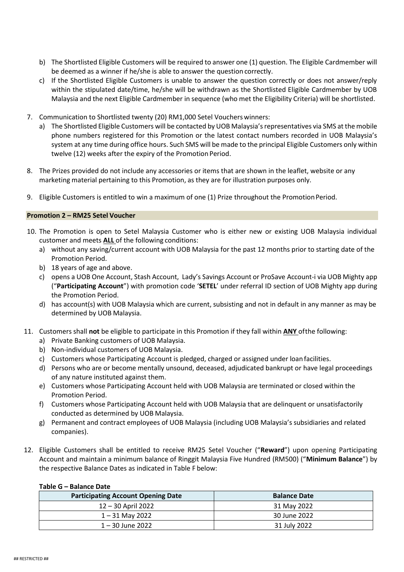- b) The Shortlisted Eligible Customers will be required to answer one (1) question. The Eligible Cardmember will be deemed as a winner if he/she is able to answer the question correctly.
- c) If the Shortlisted Eligible Customers is unable to answer the question correctly or does not answer/reply within the stipulated date/time, he/she will be withdrawn as the Shortlisted Eligible Cardmember by UOB Malaysia and the next Eligible Cardmember in sequence (who met the Eligibility Criteria) will be shortlisted.
- 7. Communication to Shortlisted twenty (20) RM1,000 Setel Vouchers winners:
	- a) The Shortlisted Eligible Customers will be contacted by UOB Malaysia'srepresentatives via SMS at the mobile phone numbers registered for this Promotion or the latest contact numbers recorded in UOB Malaysia's system at any time during office hours. Such SMS will be made to the principal Eligible Customers only within twelve (12) weeks after the expiry of the Promotion Period.
- 8. The Prizes provided do not include any accessories or items that are shown in the leaflet, website or any marketing material pertaining to this Promotion, as they are for illustration purposes only.
- 9. Eligible Customers is entitled to win a maximum of one (1) Prize throughout the Promotion Period.

## **Promotion 2 – RM25 Setel Voucher**

- 10. The Promotion is open to Setel Malaysia Customer who is either new or existing UOB Malaysia individual customer and meets **ALL** of the following conditions:
	- a) without any saving/current account with UOB Malaysia for the past 12 months prior to starting date of the Promotion Period.
	- b) 18 years of age and above.
	- c) opens a UOB One Account, Stash Account, Lady's Savings Account or ProSave Account-i via UOB Mighty app ("**Participating Account**") with promotion code '**SETEL**' under referral ID section of UOB Mighty app during the Promotion Period.
	- d) has account(s) with UOB Malaysia which are current, subsisting and not in default in any manner as may be determined by UOB Malaysia.
- 11. Customers shall **not** be eligible to participate in this Promotion if they fall within **ANY** ofthe following:
	- a) Private Banking customers of UOB Malaysia.
	- b) Non-individual customers of UOB Malaysia.
	- c) Customers whose Participating Account is pledged, charged or assigned under loan facilities.
	- d) Persons who are or become mentally unsound, deceased, adjudicated bankrupt or have legal proceedings of any nature instituted against them.
	- e) Customers whose Participating Account held with UOB Malaysia are terminated or closed within the Promotion Period.
	- f) Customers whose Participating Account held with UOB Malaysia that are delinquent or unsatisfactorily conducted as determined by UOB Malaysia.
	- g) Permanent and contract employees of UOB Malaysia (including UOB Malaysia's subsidiaries and related companies).
- 12. Eligible Customers shall be entitled to receive RM25 Setel Voucher ("**Reward**") upon opening Participating Account and maintain a minimum balance of Ringgit Malaysia Five Hundred (RM500) ("**Minimum Balance**") by the respective Balance Dates as indicated in Table F below:

| <b>Participating Account Opening Date</b> | <b>Balance Date</b> |
|-------------------------------------------|---------------------|
| 12 – 30 April 2022                        | 31 May 2022         |
| 1 – 31 May 2022                           | 30 June 2022        |
| 1 – 30 June 2022                          | 31 July 2022        |

## **Table G – Balance Date**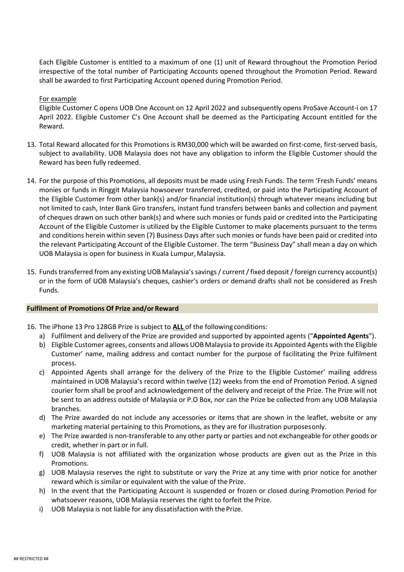Each Eligible Customer is entitled to a maximum of one (1) unit of Reward throughout the Promotion Period irrespective of the total number of Participating Accounts opened throughout the Promotion Period. Reward shall be awarded to first Participating Account opened during Promotion Period.

#### For example

Eligible Customer C opens UOB One Account on 12 April 2022 and subsequently opens ProSave Account-i on 17 April 2022. Eligible Customer C's One Account shall be deemed as the Participating Account entitled for the Reward.

- 13. Total Reward allocated for this Promotions is RM30,000 which will be awarded on first-come, first-served basis, subject to availability. UOB Malaysia does not have any obligation to inform the Eligible Customer should the Reward has been fully redeemed.
- 14. For the purpose of this Promotions, all deposits must be made using Fresh Funds. The term 'Fresh Funds' means monies or funds in Ringgit Malaysia howsoever transferred, credited, or paid into the Participating Account of the Eligible Customer from other bank(s) and/or financial institution(s) through whatever means including but not limited to cash, Inter Bank Giro transfers, instant fund transfers between banks and collection and payment of cheques drawn on such other bank(s) and where such monies or funds paid or credited into the Participating Account of the Eligible Customer is utilized by the Eligible Customer to make placements pursuant to the terms and conditions herein within seven (7) Business Days after such monies or funds have been paid or credited into the relevant Participating Account of the Eligible Customer. The term "Business Day" shall mean a day on which UOB Malaysia is open for business in Kuala Lumpur, Malaysia.
- 15. Fundstransferred from any existing UOB Malaysia'ssavings/ current/fixed deposit/foreign currency account(s) or in the form of UOB Malaysia's cheques, cashier's orders or demand drafts shall not be considered as Fresh Funds.

#### **Fulfilment of Promotions Of Prize and/or Reward**

- 16. The iPhone 13 Pro 128GB Prize is subject to **ALL** of the followingconditions:
	- a) Fulfilment and delivery of the Prize are provided and supported by appointed agents ("**Appointed Agents**").
	- b) Eligible Customer agrees, consents and allows UOB Malaysia to provide its Appointed Agents with the Eligible Customer' name, mailing address and contact number for the purpose of facilitating the Prize fulfilment process.
	- c) Appointed Agents shall arrange for the delivery of the Prize to the Eligible Customer' mailing address maintained in UOB Malaysia's record within twelve (12) weeks from the end of Promotion Period. A signed courier form shall be proof and acknowledgement of the delivery and receipt of the Prize. The Prize will not be sent to an address outside of Malaysia or P.O Box, nor can the Prize be collected from any UOB Malaysia branches.
	- d) The Prize awarded do not include any accessories or items that are shown in the leaflet, website or any marketing material pertaining to this Promotions, as they are for illustration purposesonly.
	- e) The Prize awarded is non-transferable to any other party or parties and not exchangeable for other goods or credit, whether in part or in full.
	- f) UOB Malaysia is not affiliated with the organization whose products are given out as the Prize in this Promotions.
	- g) UOB Malaysia reserves the right to substitute or vary the Prize at any time with prior notice for another reward which is similar or equivalent with the value of the Prize.
	- h) In the event that the Participating Account is suspended or frozen or closed during Promotion Period for whatsoever reasons, UOB Malaysia reserves the right to forfeit the Prize.
	- i) UOB Malaysia is not liable for any dissatisfaction with the Prize.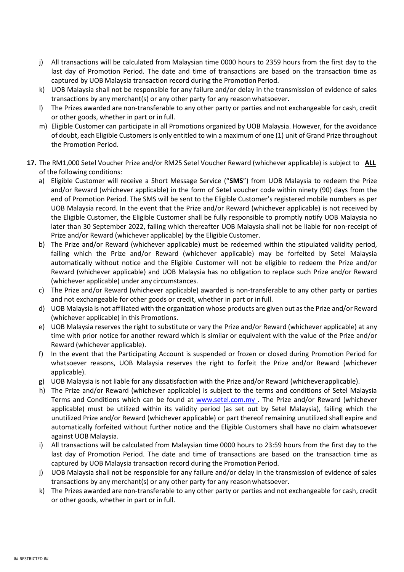- j) All transactions will be calculated from Malaysian time 0000 hours to 2359 hours from the first day to the last day of Promotion Period. The date and time of transactions are based on the transaction time as captured by UOB Malaysia transaction record during the Promotion Period.
- k) UOB Malaysia shall not be responsible for any failure and/or delay in the transmission of evidence of sales transactions by any merchant(s) or any other party for any reasonwhatsoever.
- l) The Prizes awarded are non-transferable to any other party or parties and not exchangeable for cash, credit or other goods, whether in part or in full.
- m) Eligible Customer can participate in all Promotions organized by UOB Malaysia. However, for the avoidance of doubt, each Eligible Customersis only entitled to win a maximum of one (1) unit of Grand Prize throughout the Promotion Period.
- **17.** The RM1,000 Setel Voucher Prize and/or RM25 Setel Voucher Reward (whichever applicable) is subject to **ALL** of the following conditions:
	- a) Eligible Customer will receive a Short Message Service ("**SMS**") from UOB Malaysia to redeem the Prize and/or Reward (whichever applicable) in the form of Setel voucher code within ninety (90) days from the end of Promotion Period. The SMS will be sent to the Eligible Customer's registered mobile numbers as per UOB Malaysia record. In the event that the Prize and/or Reward (whichever applicable) is not received by the Eligible Customer, the Eligible Customer shall be fully responsible to promptly notify UOB Malaysia no later than 30 September 2022, failing which thereafter UOB Malaysia shall not be liable for non-receipt of Prize and/or Reward (whichever applicable) by the Eligible Customer.
	- b) The Prize and/or Reward (whichever applicable) must be redeemed within the stipulated validity period, failing which the Prize and/or Reward (whichever applicable) may be forfeited by Setel Malaysia automatically without notice and the Eligible Customer will not be eligible to redeem the Prize and/or Reward (whichever applicable) and UOB Malaysia has no obligation to replace such Prize and/or Reward (whichever applicable) under any circumstances.
	- c) The Prize and/or Reward (whichever applicable) awarded is non-transferable to any other party or parties and not exchangeable for other goods or credit, whether in part or infull.
	- d) UOB Malaysia is not affiliated with the organization whose products are given out asthe Prize and/or Reward (whichever applicable) in this Promotions.
	- e) UOB Malaysia reserves the right to substitute or vary the Prize and/or Reward (whichever applicable) at any time with prior notice for another reward which is similar or equivalent with the value of the Prize and/or Reward (whichever applicable).
	- f) In the event that the Participating Account is suspended or frozen or closed during Promotion Period for whatsoever reasons, UOB Malaysia reserves the right to forfeit the Prize and/or Reward (whichever applicable).
	- g) UOB Malaysia is not liable for any dissatisfaction with the Prize and/or Reward (whicheverapplicable).
	- h) The Prize and/or Reward (whichever applicable) is subject to the terms and conditions of Setel Malaysia Terms and Conditions which can be found at [www.setel.com.my .](http://www.setel.com.my/) The Prize and/or Reward (whichever applicable) must be utilized within its validity period (as set out by Setel Malaysia), failing which the unutilized Prize and/or Reward (whichever applicable) or part thereof remaining unutilized shall expire and automatically forfeited without further notice and the Eligible Customers shall have no claim whatsoever against UOB Malaysia.
	- i) All transactions will be calculated from Malaysian time 0000 hours to 23:59 hours from the first day to the last day of Promotion Period. The date and time of transactions are based on the transaction time as captured by UOB Malaysia transaction record during the Promotion Period.
	- j) UOB Malaysia shall not be responsible for any failure and/or delay in the transmission of evidence of sales transactions by any merchant(s) or any other party for any reasonwhatsoever.
	- k) The Prizes awarded are non-transferable to any other party or parties and not exchangeable for cash, credit or other goods, whether in part or in full.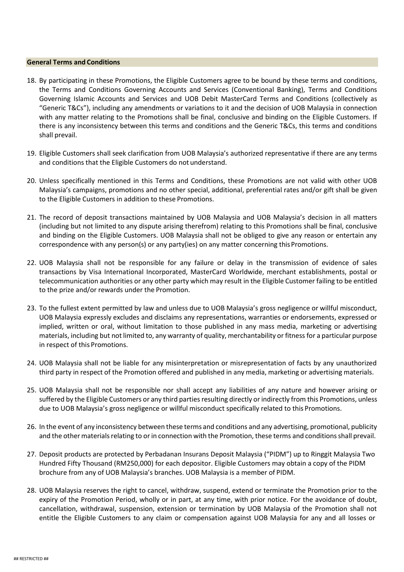#### **General Terms and Conditions**

- 18. By participating in these Promotions, the Eligible Customers agree to be bound by these terms and conditions, the Terms and Conditions Governing Accounts and Services (Conventional Banking), Terms and Conditions Governing Islamic Accounts and Services and UOB Debit MasterCard Terms and Conditions (collectively as "Generic T&Cs"), including any amendments or variations to it and the decision of UOB Malaysia in connection with any matter relating to the Promotions shall be final, conclusive and binding on the Eligible Customers. If there is any inconsistency between this terms and conditions and the Generic T&Cs, this terms and conditions shall prevail.
- 19. Eligible Customers shall seek clarification from UOB Malaysia's authorized representative if there are any terms and conditions that the Eligible Customers do not understand.
- 20. Unless specifically mentioned in this Terms and Conditions, these Promotions are not valid with other UOB Malaysia's campaigns, promotions and no other special, additional, preferential rates and/or gift shall be given to the Eligible Customers in addition to these Promotions.
- 21. The record of deposit transactions maintained by UOB Malaysia and UOB Malaysia's decision in all matters (including but not limited to any dispute arising therefrom) relating to this Promotions shall be final, conclusive and binding on the Eligible Customers. UOB Malaysia shall not be obliged to give any reason or entertain any correspondence with any person(s) or any party(ies) on any matter concerning this Promotions.
- 22. UOB Malaysia shall not be responsible for any failure or delay in the transmission of evidence of sales transactions by Visa International Incorporated, MasterCard Worldwide, merchant establishments, postal or telecommunication authorities or any other party which may result in the Eligible Customer failing to be entitled to the prize and/or rewards under the Promotion.
- 23. To the fullest extent permitted by law and unless due to UOB Malaysia's gross negligence or willful misconduct, UOB Malaysia expressly excludes and disclaims any representations, warranties or endorsements, expressed or implied, written or oral, without limitation to those published in any mass media, marketing or advertising materials, including but not limited to, any warranty of quality, merchantability or fitness for a particular purpose in respect of this Promotions.
- 24. UOB Malaysia shall not be liable for any misinterpretation or misrepresentation of facts by any unauthorized third party in respect of the Promotion offered and published in any media, marketing or advertising materials.
- 25. UOB Malaysia shall not be responsible nor shall accept any liabilities of any nature and however arising or suffered by the Eligible Customers or any third parties resulting directly or indirectly from this Promotions, unless due to UOB Malaysia's gross negligence or willful misconduct specifically related to this Promotions.
- 26. In the event of any inconsistency between these terms and conditions and any advertising, promotional, publicity and the other materials relating to or in connection with the Promotion, these terms and conditions shall prevail.
- 27. Deposit products are protected by Perbadanan Insurans Deposit Malaysia ("PIDM") up to Ringgit Malaysia Two Hundred Fifty Thousand (RM250,000) for each depositor. Eligible Customers may obtain a copy of the PIDM brochure from any of UOB Malaysia's branches. UOB Malaysia is a member of PIDM.
- 28. UOB Malaysia reserves the right to cancel, withdraw, suspend, extend or terminate the Promotion prior to the expiry of the Promotion Period, wholly or in part, at any time, with prior notice. For the avoidance of doubt, cancellation, withdrawal, suspension, extension or termination by UOB Malaysia of the Promotion shall not entitle the Eligible Customers to any claim or compensation against UOB Malaysia for any and all losses or